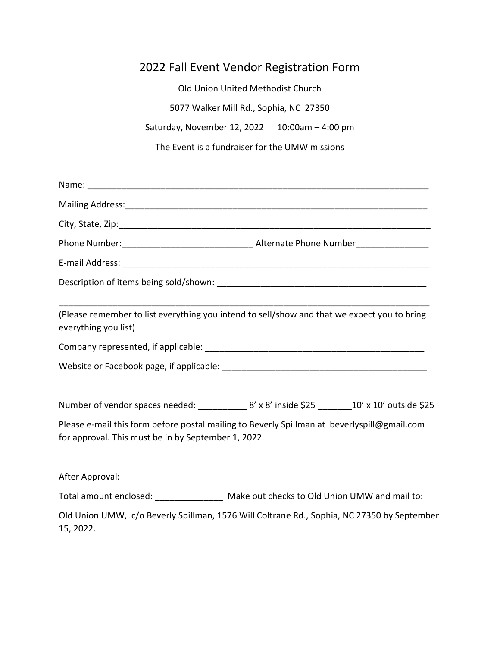## 2022 Fall Event Vendor Registration Form

Old Union United Methodist Church 5077 Walker Mill Rd., Sophia, NC 27350 Saturday, November 12, 2022 10:00am – 4:00 pm The Event is a fundraiser for the UMW missions

| everything you list)                                | (Please remember to list everything you intend to sell/show and that we expect you to bring      |
|-----------------------------------------------------|--------------------------------------------------------------------------------------------------|
|                                                     |                                                                                                  |
|                                                     |                                                                                                  |
|                                                     | Number of vendor spaces needed: ____________ 8' x 8' inside \$25 ________ 10' x 10' outside \$25 |
| for approval. This must be in by September 1, 2022. | Please e-mail this form before postal mailing to Beverly Spillman at beverlyspill@gmail.com      |
| After Approval:                                     |                                                                                                  |
|                                                     | Total amount enclosed: ________________ Make out checks to Old Union UMW and mail to:            |
| 15, 2022.                                           | Old Union UMW, c/o Beverly Spillman, 1576 Will Coltrane Rd., Sophia, NC 27350 by September       |